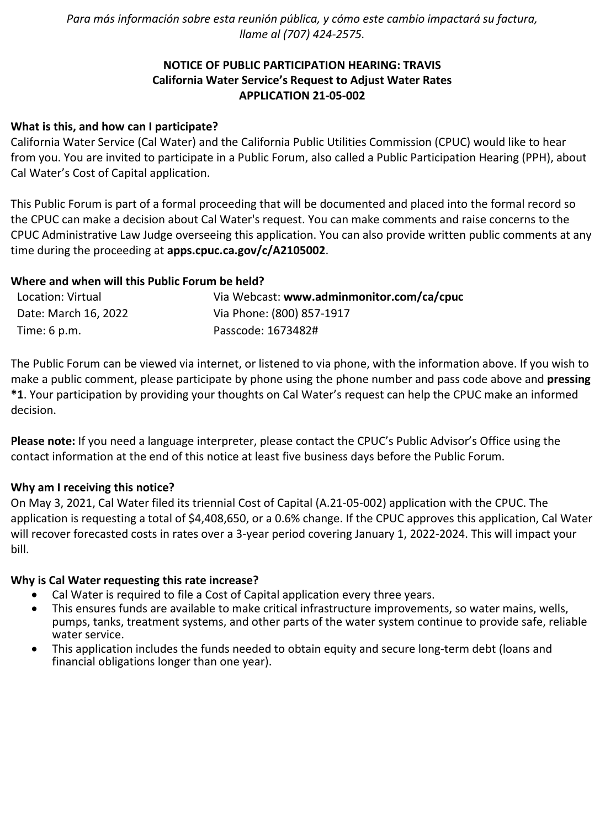*Para más información sobre esta reunión pública, y cómo este cambio impactará su factura, llame al (707) 424-2575.*

# **NOTICE OF PUBLIC PARTICIPATION HEARING: TRAVIS California Water Service's Request to Adjust Water Rates APPLICATION 21-05-002**

### **What is this, and how can I participate?**

California Water Service (Cal Water) and the California Public Utilities Commission (CPUC) would like to hear from you. You are invited to participate in a Public Forum, also called a Public Participation Hearing (PPH), about Cal Water's Cost of Capital application.

This Public Forum is part of a formal proceeding that will be documented and placed into the formal record so the CPUC can make a decision about Cal Water's request. You can make comments and raise concerns to the CPUC Administrative Law Judge overseeing this application. You can also provide written public comments at any time during the proceeding at **[apps.cpuc.ca.gov/c/A2105002](https://apps.cpuc.ca.gov/apex/f?p=401:65:0::NO:RP,57,RIR:P5_PROCEEDING_SELECT:A2105002)**.

### **Where and when will this Public Forum be held?**

| Location: Virtual    | Via Webcast: www.adminmonitor.com/ca/cpuc |
|----------------------|-------------------------------------------|
| Date: March 16, 2022 | Via Phone: (800) 857-1917                 |
| Time: 6 p.m.         | Passcode: 1673482#                        |

The Public Forum can be viewed via internet, or listened to via phone, with the information above. If you wish to make a public comment, please participate by phone using the phone number and pass code above and **pressing \*1**. Your participation by providing your thoughts on Cal Water's request can help the CPUC make an informed decision.

**Please note:** If you need a language interpreter, please contact the CPUC's Public Advisor's Office using the contact information at the end of this notice at least five business days before the Public Forum.

#### **Why am I receiving this notice?**

On May 3, 2021, Cal Water filed its triennial Cost of Capital (A.21-05-002) application with the CPUC. The application is requesting a total of \$4,408,650, or a 0.6% change. If the CPUC approves this application, Cal Water will recover forecasted costs in rates over a 3-year period covering January 1, 2022-2024. This will impact your bill.

#### **Why is Cal Water requesting this rate increase?**

- Cal Water is required to file a Cost of Capital application every three years.
- This ensures funds are available to make critical infrastructure improvements, so water mains, wells, pumps, tanks, treatment systems, and other parts of the water system continue to provide safe, reliable water service.
- This application includes the funds needed to obtain equity and secure long-term debt (loans and financial obligations longer than one year).